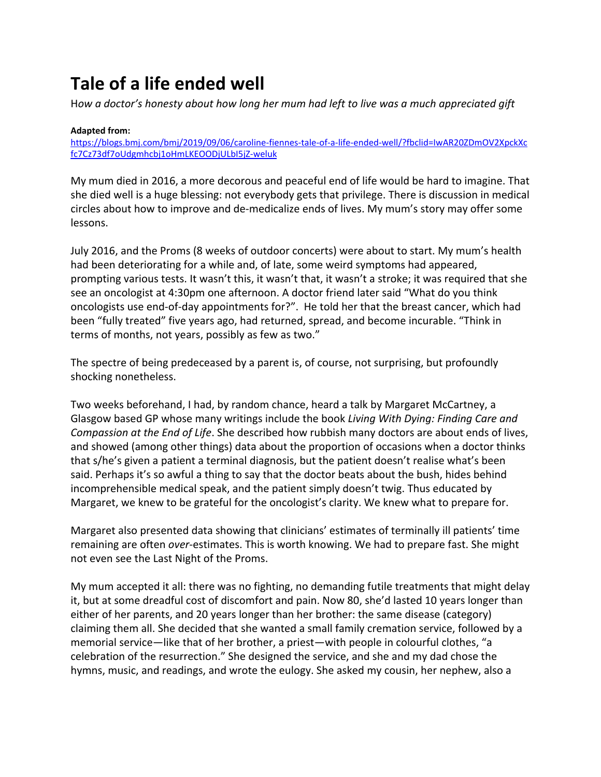## **Tale of a life ended well**

H*ow a doctor's honesty about how long her mum had left to live was a much appreciated gift*

## **Adapted from:**

[https://blogs.bmj.com/bmj/2019/09/06/caroline-fiennes-tale-of-a-life-ended-well/?fbclid=IwAR20ZDmOV2XpckXc](https://blogs.bmj.com/bmj/2019/09/06/caroline-fiennes-tale-of-a-life-ended-well/?fbclid=IwAR20ZDmOV2XpckXcfc7Cz73df7oUdgmhcbj1oHmLKEOODjULbI5jZ-weluk) [fc7Cz73df7oUdgmhcbj1oHmLKEOODjULbI5jZ-weluk](https://blogs.bmj.com/bmj/2019/09/06/caroline-fiennes-tale-of-a-life-ended-well/?fbclid=IwAR20ZDmOV2XpckXcfc7Cz73df7oUdgmhcbj1oHmLKEOODjULbI5jZ-weluk)

My mum died in 2016, a more decorous and peaceful end of life would be hard to imagine. That she died well is a huge blessing: not everybody gets that privilege. There is discussion in medical circles about how to improve and de-medicalize ends of lives. My mum's story may offer some lessons.

July 2016, and the Proms (8 weeks of outdoor concerts) were about to start. My mum's health had been deteriorating for a while and, of late, some weird symptoms had appeared, prompting various tests. It wasn't this, it wasn't that, it wasn't a stroke; it was required that she see an oncologist at 4:30pm one afternoon. A doctor friend later said "What do you think oncologists use end-of-day appointments for?". He told her that the breast cancer, which had been "fully treated" five years ago, had returned, spread, and become incurable. "Think in terms of months, not years, possibly as few as two."

The spectre of being predeceased by a parent is, of course, not surprising, but profoundly shocking nonetheless.

Two weeks beforehand, I had, by random chance, heard a talk by Margaret McCartney, a Glasgow based GP whose many writings include the book *Living With Dying: Finding Care and Compassion at the End of Life*. She described how rubbish many doctors are about ends of lives, and showed (among other things) data about the proportion of occasions when a doctor thinks that s/he's given a patient a terminal diagnosis, but the patient doesn't realise what's been said. Perhaps it's so awful a thing to say that the doctor beats about the bush, hides behind incomprehensible medical speak, and the patient simply doesn't twig. Thus educated by Margaret, we knew to be grateful for the oncologist's clarity. We knew what to prepare for.

Margaret also presented data showing that clinicians' estimates of terminally ill patients' time remaining are often *over*-estimates. This is worth knowing. We had to prepare fast. She might not even see the Last Night of the Proms.

My mum accepted it all: there was no fighting, no demanding futile treatments that might delay it, but at some dreadful cost of discomfort and pain. Now 80, she'd lasted 10 years longer than either of her parents, and 20 years longer than her brother: the same disease (category) claiming them all. She decided that she wanted a small family cremation service, followed by a memorial service—like that of her brother, a priest—with people in colourful clothes, "a celebration of the resurrection." She designed the service, and she and my dad chose the hymns, music, and readings, and wrote the eulogy. She asked my cousin, her nephew, also a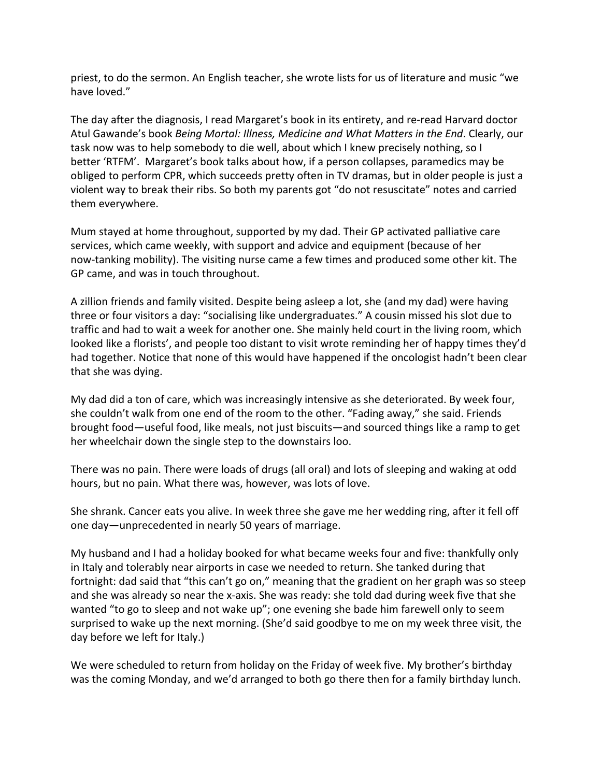priest, to do the sermon. An English teacher, she wrote lists for us of literature and music "we have loved."

The day after the diagnosis, I read Margaret's book in its entirety, and re-read Harvard doctor Atul Gawande's book *Being Mortal: Illness, Medicine and What Matters in the End*. Clearly, our task now was to help somebody to die well, about which I knew precisely nothing, so I better 'RTFM'. Margaret's book talks about how, if a person collapses, paramedics may be obliged to perform CPR, which succeeds pretty often in TV dramas, but in older people is just a violent way to break their ribs. So both my parents got "do not resuscitate" notes and carried them everywhere.

Mum stayed at home throughout, supported by my dad. Their GP activated palliative care services, which came weekly, with support and advice and equipment (because of her now-tanking mobility). The visiting nurse came a few times and produced some other kit. The GP came, and was in touch throughout.

A zillion friends and family visited. Despite being asleep a lot, she (and my dad) were having three or four visitors a day: "socialising like undergraduates." A cousin missed his slot due to traffic and had to wait a week for another one. She mainly held court in the living room, which looked like a florists', and people too distant to visit wrote reminding her of happy times they'd had together. Notice that none of this would have happened if the oncologist hadn't been clear that she was dying.

My dad did a ton of care, which was increasingly intensive as she deteriorated. By week four, she couldn't walk from one end of the room to the other. "Fading away," she said. Friends brought food—useful food, like meals, not just biscuits—and sourced things like a ramp to get her wheelchair down the single step to the downstairs loo.

There was no pain. There were loads of drugs (all oral) and lots of sleeping and waking at odd hours, but no pain. What there was, however, was lots of love.

She shrank. Cancer eats you alive. In week three she gave me her wedding ring, after it fell off one day—unprecedented in nearly 50 years of marriage.

My husband and I had a holiday booked for what became weeks four and five: thankfully only in Italy and tolerably near airports in case we needed to return. She tanked during that fortnight: dad said that "this can't go on," meaning that the gradient on her graph was so steep and she was already so near the x-axis. She was ready: she told dad during week five that she wanted "to go to sleep and not wake up"; one evening she bade him farewell only to seem surprised to wake up the next morning. (She'd said goodbye to me on my week three visit, the day before we left for Italy.)

We were scheduled to return from holiday on the Friday of week five. My brother's birthday was the coming Monday, and we'd arranged to both go there then for a family birthday lunch.